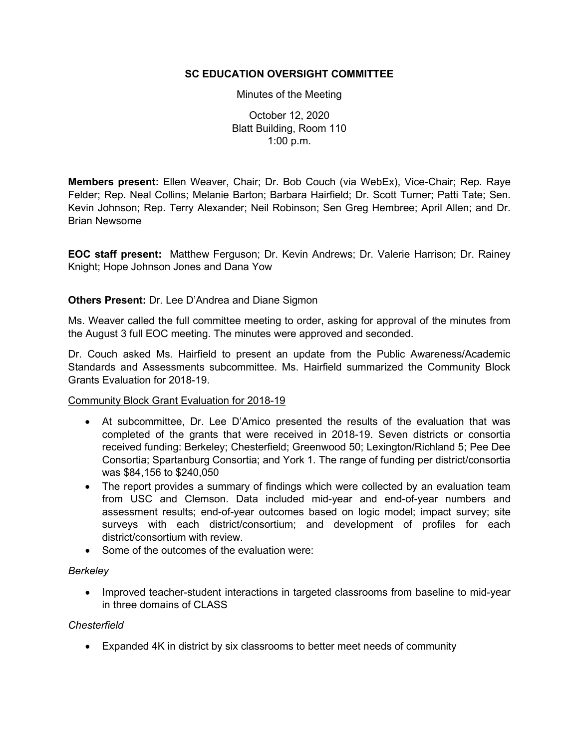## **SC EDUCATION OVERSIGHT COMMITTEE**

#### Minutes of the Meeting

October 12, 2020 Blatt Building, Room 110 1:00 p.m.

**Members present:** Ellen Weaver, Chair; Dr. Bob Couch (via WebEx), Vice-Chair; Rep. Raye Felder; Rep. Neal Collins; Melanie Barton; Barbara Hairfield; Dr. Scott Turner; Patti Tate; Sen. Kevin Johnson; Rep. Terry Alexander; Neil Robinson; Sen Greg Hembree; April Allen; and Dr. Brian Newsome

**EOC staff present:** Matthew Ferguson; Dr. Kevin Andrews; Dr. Valerie Harrison; Dr. Rainey Knight; Hope Johnson Jones and Dana Yow

## **Others Present:** Dr. Lee D'Andrea and Diane Sigmon

Ms. Weaver called the full committee meeting to order, asking for approval of the minutes from the August 3 full EOC meeting. The minutes were approved and seconded.

Dr. Couch asked Ms. Hairfield to present an update from the Public Awareness/Academic Standards and Assessments subcommittee. Ms. Hairfield summarized the Community Block Grants Evaluation for 2018-19.

## Community Block Grant Evaluation for 2018-19

- At subcommittee, Dr. Lee D'Amico presented the results of the evaluation that was completed of the grants that were received in 2018-19. Seven districts or consortia received funding: Berkeley; Chesterfield; Greenwood 50; Lexington/Richland 5; Pee Dee Consortia; Spartanburg Consortia; and York 1. The range of funding per district/consortia was \$84,156 to \$240,050
- The report provides a summary of findings which were collected by an evaluation team from USC and Clemson. Data included mid-year and end-of-year numbers and assessment results; end-of-year outcomes based on logic model; impact survey; site surveys with each district/consortium; and development of profiles for each district/consortium with review.
- Some of the outcomes of the evaluation were:

## *Berkeley*

• Improved teacher-student interactions in targeted classrooms from baseline to mid-year in three domains of CLASS

## *Chesterfield*

• Expanded 4K in district by six classrooms to better meet needs of community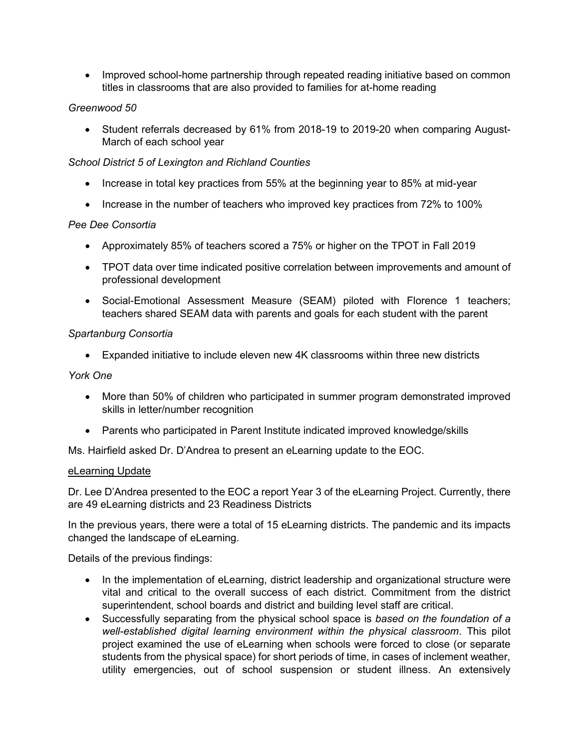• Improved school-home partnership through repeated reading initiative based on common titles in classrooms that are also provided to families for at-home reading

# *Greenwood 50*

• Student referrals decreased by 61% from 2018-19 to 2019-20 when comparing August-March of each school year

## *School District 5 of Lexington and Richland Counties*

- Increase in total key practices from 55% at the beginning year to 85% at mid-year
- Increase in the number of teachers who improved key practices from 72% to 100%

## *Pee Dee Consortia*

- Approximately 85% of teachers scored a 75% or higher on the TPOT in Fall 2019
- TPOT data over time indicated positive correlation between improvements and amount of professional development
- Social-Emotional Assessment Measure (SEAM) piloted with Florence 1 teachers; teachers shared SEAM data with parents and goals for each student with the parent

## *Spartanburg Consortia*

• Expanded initiative to include eleven new 4K classrooms within three new districts

## *York One*

- More than 50% of children who participated in summer program demonstrated improved skills in letter/number recognition
- Parents who participated in Parent Institute indicated improved knowledge/skills

Ms. Hairfield asked Dr. D'Andrea to present an eLearning update to the EOC.

## eLearning Update

Dr. Lee D'Andrea presented to the EOC a report Year 3 of the eLearning Project. Currently, there are 49 eLearning districts and 23 Readiness Districts

In the previous years, there were a total of 15 eLearning districts. The pandemic and its impacts changed the landscape of eLearning.

Details of the previous findings:

- In the implementation of eLearning, district leadership and organizational structure were vital and critical to the overall success of each district. Commitment from the district superintendent, school boards and district and building level staff are critical.
- Successfully separating from the physical school space is *based on the foundation of a well-established digital learning environment within the physical classroom*. This pilot project examined the use of eLearning when schools were forced to close (or separate students from the physical space) for short periods of time, in cases of inclement weather, utility emergencies, out of school suspension or student illness. An extensively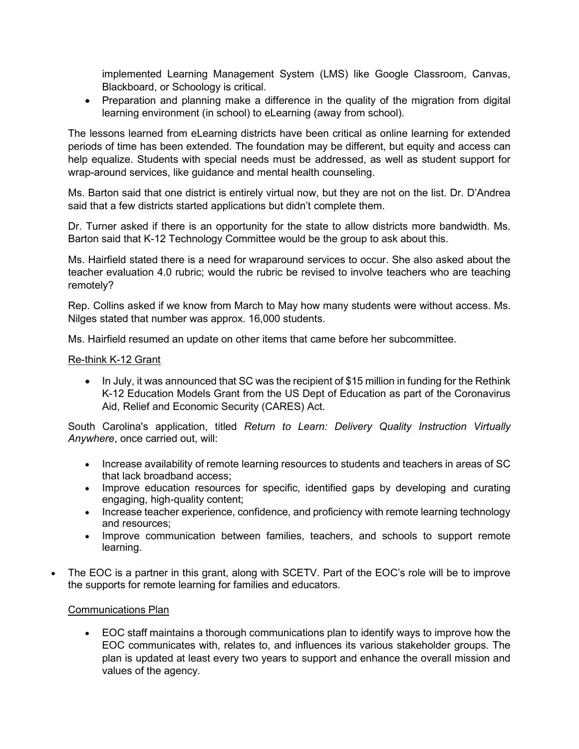implemented Learning Management System (LMS) like Google Classroom, Canvas, Blackboard, or Schoology is critical.

• Preparation and planning make a difference in the quality of the migration from digital learning environment (in school) to eLearning (away from school).

The lessons learned from eLearning districts have been critical as online learning for extended periods of time has been extended. The foundation may be different, but equity and access can help equalize. Students with special needs must be addressed, as well as student support for wrap-around services, like guidance and mental health counseling.

Ms. Barton said that one district is entirely virtual now, but they are not on the list. Dr. D'Andrea said that a few districts started applications but didn't complete them.

Dr. Turner asked if there is an opportunity for the state to allow districts more bandwidth. Ms. Barton said that K-12 Technology Committee would be the group to ask about this.

Ms. Hairfield stated there is a need for wraparound services to occur. She also asked about the teacher evaluation 4.0 rubric; would the rubric be revised to involve teachers who are teaching remotely?

Rep. Collins asked if we know from March to May how many students were without access. Ms. Nilges stated that number was approx. 16,000 students.

Ms. Hairfield resumed an update on other items that came before her subcommittee.

#### Re-think K-12 Grant

• In July, it was announced that SC was the recipient of \$15 million in funding for the Rethink K-12 Education Models Grant from the US Dept of Education as part of the Coronavirus Aid, Relief and Economic Security (CARES) Act.

South Carolina's application, titled *Return to Learn: Delivery Quality Instruction Virtually Anywhere*, once carried out, will:

- Increase availability of remote learning resources to students and teachers in areas of SC that lack broadband access;
- Improve education resources for specific, identified gaps by developing and curating engaging, high-quality content;
- Increase teacher experience, confidence, and proficiency with remote learning technology and resources;
- Improve communication between families, teachers, and schools to support remote learning.
- The EOC is a partner in this grant, along with SCETV. Part of the EOC's role will be to improve the supports for remote learning for families and educators.

## Communications Plan

• EOC staff maintains a thorough communications plan to identify ways to improve how the EOC communicates with, relates to, and influences its various stakeholder groups. The plan is updated at least every two years to support and enhance the overall mission and values of the agency.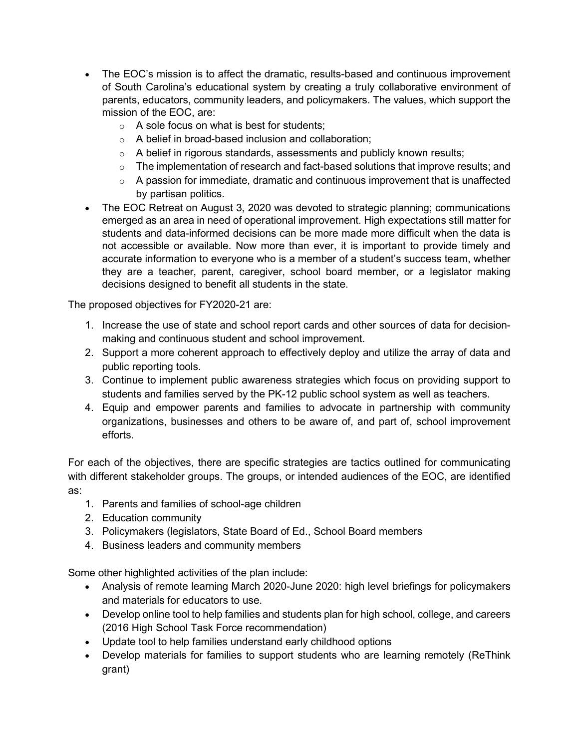- The EOC's mission is to affect the dramatic, results-based and continuous improvement of South Carolina's educational system by creating a truly collaborative environment of parents, educators, community leaders, and policymakers. The values, which support the mission of the EOC, are:
	- $\circ$  A sole focus on what is best for students;
	- o A belief in broad-based inclusion and collaboration;
	- $\circ$  A belief in rigorous standards, assessments and publicly known results;
	- $\circ$  The implementation of research and fact-based solutions that improve results; and
	- $\circ$  A passion for immediate, dramatic and continuous improvement that is unaffected by partisan politics.
- The EOC Retreat on August 3, 2020 was devoted to strategic planning; communications emerged as an area in need of operational improvement. High expectations still matter for students and data-informed decisions can be more made more difficult when the data is not accessible or available. Now more than ever, it is important to provide timely and accurate information to everyone who is a member of a student's success team, whether they are a teacher, parent, caregiver, school board member, or a legislator making decisions designed to benefit all students in the state.

The proposed objectives for FY2020-21 are:

- 1. Increase the use of state and school report cards and other sources of data for decisionmaking and continuous student and school improvement.
- 2. Support a more coherent approach to effectively deploy and utilize the array of data and public reporting tools.
- 3. Continue to implement public awareness strategies which focus on providing support to students and families served by the PK-12 public school system as well as teachers.
- 4. Equip and empower parents and families to advocate in partnership with community organizations, businesses and others to be aware of, and part of, school improvement efforts.

For each of the objectives, there are specific strategies are tactics outlined for communicating with different stakeholder groups. The groups, or intended audiences of the EOC, are identified as:

- 1. Parents and families of school-age children
- 2. Education community
- 3. Policymakers (legislators, State Board of Ed., School Board members
- 4. Business leaders and community members

Some other highlighted activities of the plan include:

- Analysis of remote learning March 2020-June 2020: high level briefings for policymakers and materials for educators to use.
- Develop online tool to help families and students plan for high school, college, and careers (2016 High School Task Force recommendation)
- Update tool to help families understand early childhood options
- Develop materials for families to support students who are learning remotely (ReThink grant)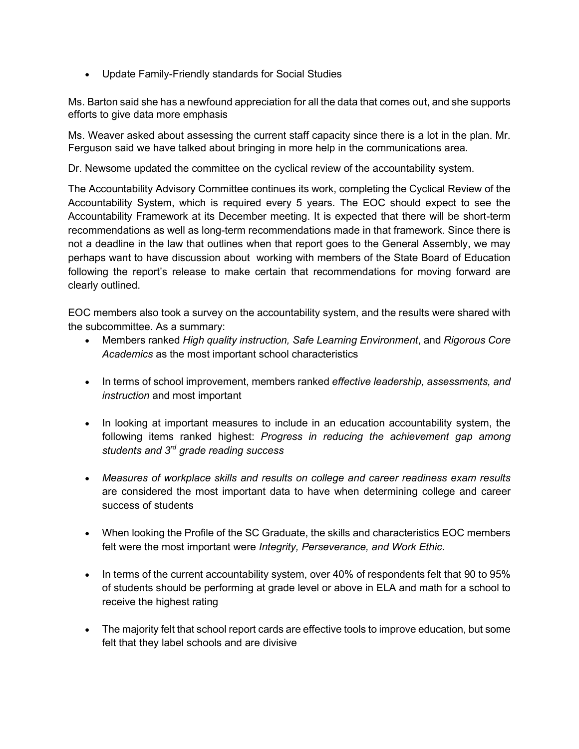• Update Family-Friendly standards for Social Studies

Ms. Barton said she has a newfound appreciation for all the data that comes out, and she supports efforts to give data more emphasis

Ms. Weaver asked about assessing the current staff capacity since there is a lot in the plan. Mr. Ferguson said we have talked about bringing in more help in the communications area.

Dr. Newsome updated the committee on the cyclical review of the accountability system.

The Accountability Advisory Committee continues its work, completing the Cyclical Review of the Accountability System, which is required every 5 years. The EOC should expect to see the Accountability Framework at its December meeting. It is expected that there will be short-term recommendations as well as long-term recommendations made in that framework. Since there is not a deadline in the law that outlines when that report goes to the General Assembly, we may perhaps want to have discussion about working with members of the State Board of Education following the report's release to make certain that recommendations for moving forward are clearly outlined.

EOC members also took a survey on the accountability system, and the results were shared with the subcommittee. As a summary:

- Members ranked *High quality instruction, Safe Learning Environment*, and *Rigorous Core Academics* as the most important school characteristics
- In terms of school improvement, members ranked *effective leadership, assessments, and instruction* and most important
- In looking at important measures to include in an education accountability system, the following items ranked highest: *Progress in reducing the achievement gap among students and 3rd grade reading success*
- *Measures of workplace skills and results on college and career readiness exam results* are considered the most important data to have when determining college and career success of students
- When looking the Profile of the SC Graduate, the skills and characteristics EOC members felt were the most important were *Integrity, Perseverance, and Work Ethic.*
- In terms of the current accountability system, over 40% of respondents felt that 90 to 95% of students should be performing at grade level or above in ELA and math for a school to receive the highest rating
- The majority felt that school report cards are effective tools to improve education, but some felt that they label schools and are divisive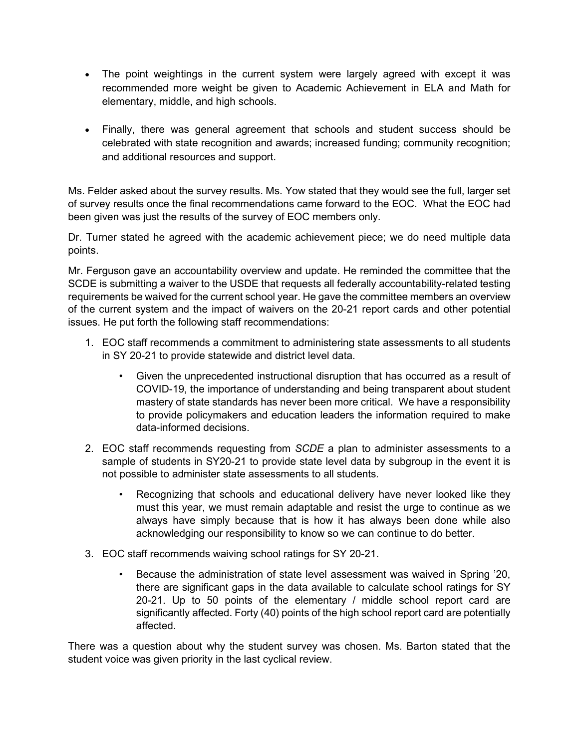- The point weightings in the current system were largely agreed with except it was recommended more weight be given to Academic Achievement in ELA and Math for elementary, middle, and high schools.
- Finally, there was general agreement that schools and student success should be celebrated with state recognition and awards; increased funding; community recognition; and additional resources and support.

Ms. Felder asked about the survey results. Ms. Yow stated that they would see the full, larger set of survey results once the final recommendations came forward to the EOC. What the EOC had been given was just the results of the survey of EOC members only.

Dr. Turner stated he agreed with the academic achievement piece; we do need multiple data points.

Mr. Ferguson gave an accountability overview and update. He reminded the committee that the SCDE is submitting a waiver to the USDE that requests all federally accountability-related testing requirements be waived for the current school year. He gave the committee members an overview of the current system and the impact of waivers on the 20-21 report cards and other potential issues. He put forth the following staff recommendations:

- 1. EOC staff recommends a commitment to administering state assessments to all students in SY 20-21 to provide statewide and district level data.
	- Given the unprecedented instructional disruption that has occurred as a result of COVID-19, the importance of understanding and being transparent about student mastery of state standards has never been more critical. We have a responsibility to provide policymakers and education leaders the information required to make data-informed decisions.
- 2. EOC staff recommends requesting from *SCDE* a plan to administer assessments to a sample of students in SY20-21 to provide state level data by subgroup in the event it is not possible to administer state assessments to all students*.* 
	- Recognizing that schools and educational delivery have never looked like they must this year, we must remain adaptable and resist the urge to continue as we always have simply because that is how it has always been done while also acknowledging our responsibility to know so we can continue to do better.
- 3. EOC staff recommends waiving school ratings for SY 20-21.
	- Because the administration of state level assessment was waived in Spring '20, there are significant gaps in the data available to calculate school ratings for SY 20-21. Up to 50 points of the elementary / middle school report card are significantly affected. Forty (40) points of the high school report card are potentially affected.

There was a question about why the student survey was chosen. Ms. Barton stated that the student voice was given priority in the last cyclical review.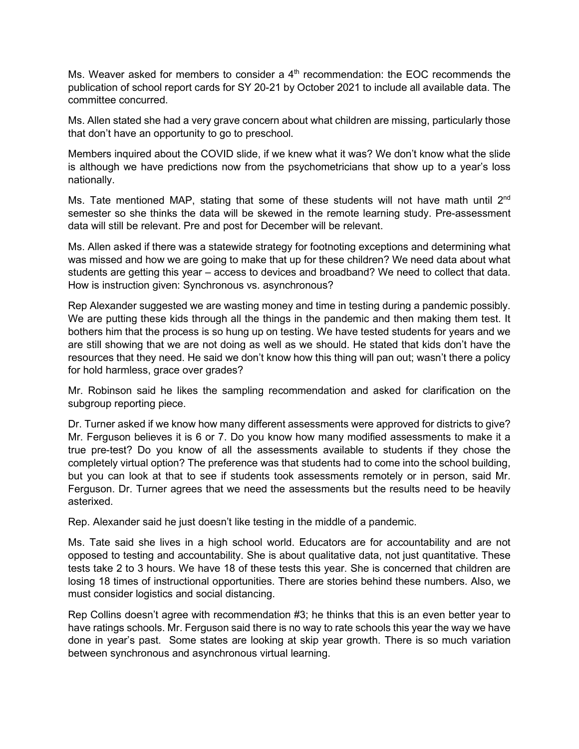Ms. Weaver asked for members to consider a  $4<sup>th</sup>$  recommendation: the EOC recommends the publication of school report cards for SY 20-21 by October 2021 to include all available data. The committee concurred.

Ms. Allen stated she had a very grave concern about what children are missing, particularly those that don't have an opportunity to go to preschool.

Members inquired about the COVID slide, if we knew what it was? We don't know what the slide is although we have predictions now from the psychometricians that show up to a year's loss nationally.

Ms. Tate mentioned MAP, stating that some of these students will not have math until 2<sup>nd</sup> semester so she thinks the data will be skewed in the remote learning study. Pre-assessment data will still be relevant. Pre and post for December will be relevant.

Ms. Allen asked if there was a statewide strategy for footnoting exceptions and determining what was missed and how we are going to make that up for these children? We need data about what students are getting this year – access to devices and broadband? We need to collect that data. How is instruction given: Synchronous vs. asynchronous?

Rep Alexander suggested we are wasting money and time in testing during a pandemic possibly. We are putting these kids through all the things in the pandemic and then making them test. It bothers him that the process is so hung up on testing. We have tested students for years and we are still showing that we are not doing as well as we should. He stated that kids don't have the resources that they need. He said we don't know how this thing will pan out; wasn't there a policy for hold harmless, grace over grades?

Mr. Robinson said he likes the sampling recommendation and asked for clarification on the subgroup reporting piece.

Dr. Turner asked if we know how many different assessments were approved for districts to give? Mr. Ferguson believes it is 6 or 7. Do you know how many modified assessments to make it a true pre-test? Do you know of all the assessments available to students if they chose the completely virtual option? The preference was that students had to come into the school building, but you can look at that to see if students took assessments remotely or in person, said Mr. Ferguson. Dr. Turner agrees that we need the assessments but the results need to be heavily asterixed.

Rep. Alexander said he just doesn't like testing in the middle of a pandemic.

Ms. Tate said she lives in a high school world. Educators are for accountability and are not opposed to testing and accountability. She is about qualitative data, not just quantitative. These tests take 2 to 3 hours. We have 18 of these tests this year. She is concerned that children are losing 18 times of instructional opportunities. There are stories behind these numbers. Also, we must consider logistics and social distancing.

Rep Collins doesn't agree with recommendation #3; he thinks that this is an even better year to have ratings schools. Mr. Ferguson said there is no way to rate schools this year the way we have done in year's past. Some states are looking at skip year growth. There is so much variation between synchronous and asynchronous virtual learning.